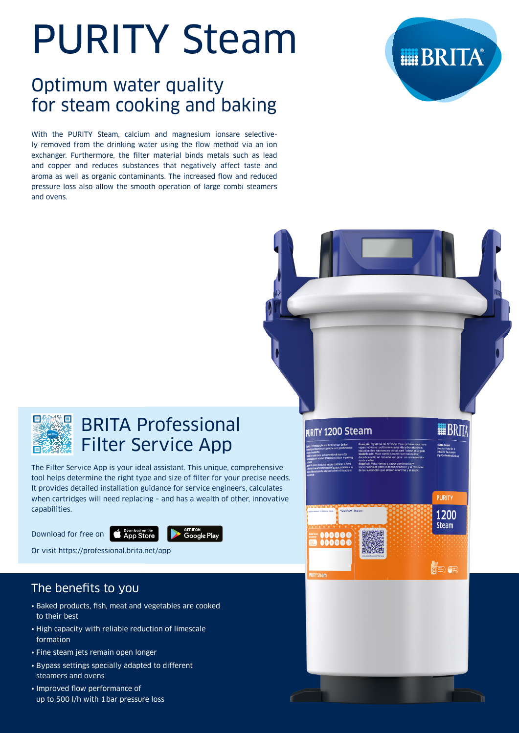# PURITY Steam

## Optimum water quality for steam cooking and baking

With the PURITY Steam, calcium and magnesium ionsare selectively removed from the drinking water using the flow method via an ion exchanger. Furthermore, the filter material binds metals such as lead and copper and reduces substances that negatively affect taste and aroma as well as organic contaminants. The increased flow and reduced pressure loss also allow the smooth operation of large combi steamers and ovens.







## BRITA Professional Filter Service App

The Filter Service App is your ideal assistant. This unique, comprehensive tool helps determine the right type and size of filter for your precise needs. It provides detailed installation guidance for service engineers, calculates when cartridges will need replacing – and has a wealth of other, innovative capabilities.

Download for free on **CApp Store** 



Or visit https://professional.brita.net/app

## The benefits to you

- Baked products, fish, meat and vegetables are cooked to their best
- High capacity with reliable reduction of limescale formation
- Fine steam jets remain open longer
- Bypass settings specially adapted to different steamers and ovens
- Improved flow performance of up to 500 l/h with 1 bar pressure loss